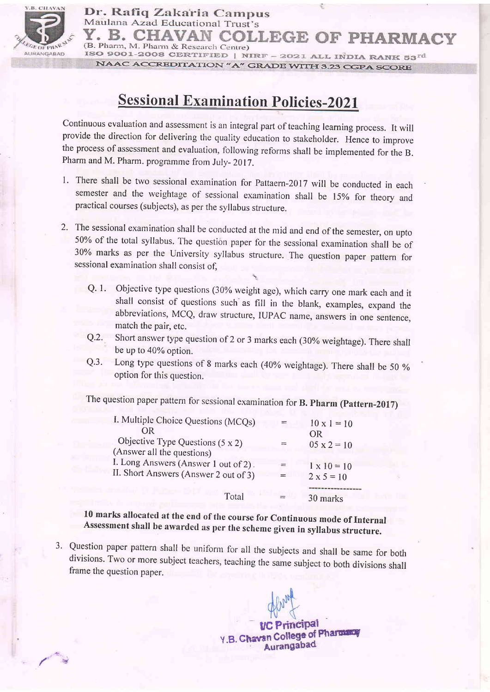

! /

Dr. Rafiq Zakaria Campus Maulana Azad Educational Trust's LEGE OF PHARMACY (B. Pharm, M. Pharm & Research Centre) ISO 9001-2008 CERTIFIED | NIRF - 2021 ALL INDIA RANK  $53^{rd}$ NAAC ACCREDITATION "A" GRADE WITH 3.23 CGPA SCORE

## **Sessional Examination Policies-2021**

Continuous evaluation and assessment is an integral part of teaching learning process. It will provide the direction for delivering the quality education to stakeholder. Hence to improve the process of assessment and evaluation, following reforms shall be implemented for the B. Pharm and M. Pharm. programme from July- 2017.

- 1. There shall be two sessional examination for Pattaern-2017 will be conducted in each semester and the weightage of sessional examination shall be 15% for theory and practical courses (subjects), as per the syllabus structure.
- 2. The sessional examination shall be conducted at the mid and end of the semester, on upto 50%o of the total syllabus. The question paper for the sessional examination shall be of 30% marks as per the University syllabus structure. The question paper pattem for sessional examination shall consist of,
	- Q. 1. Objective type questions (30% weight age), which carry one mark each and it shall consist of questions such as fill in the blank, examples, expand the abbreviations, MCQ, draw structure, IUPAC name, answers in one sentence. match the pair, etc.
		- Q.2. Short answer type question of 2 or 3 marks each (30% weightage). There shall be up to 40% option.
		- Q.3. Long type questions of 8 marks each (40% weightage). There shall be 50 % option for this question.

The question paper pattern for sessional examination for B. Pharm (Pattern-2017)

| I. Multiple Choice Questions (MCQs)     | $10 \times 1 = 10$ |
|-----------------------------------------|--------------------|
| OR                                      | OR                 |
| Objective Type Questions $(5 \times 2)$ | $05 \times 2 = 10$ |
| (Answer all the questions)              |                    |
| I. Long Answers (Answer 1 out of 2).    | $1 \times 10 = 10$ |
| II. Short Answers (Answer 2 out of 3)   | $2 \times 5 = 10$  |
|                                         |                    |
| Total                                   | 30 marks           |

l0 marks allocated at the end of the course for Continuous mode of Internal Assessment shall be awarded as per the scheme given in syllabus structure.

3' Question paper pattern shall be uniform for all the subjects and shall be same for both divisions' Two or more subject teachers, teaching the same subject to both divisions shall frame the question paper.

**UC Principal** Y.B. Chavan College of Pharmacy Aurangabad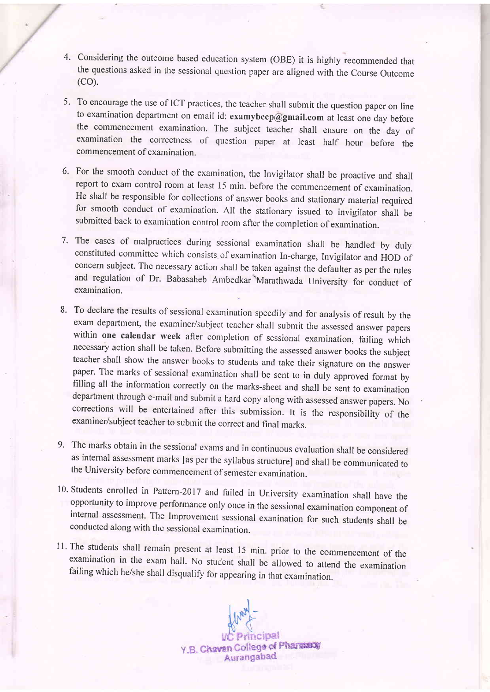- 4. Considering the outcome based education system (OBE) it is highly recommended that the questions asked in the sessional question paper are aligned with the Course Outcome (co).
- 5. To encourage the use of ICT practices, the teacher shall submit the question paper on line to examination department on email id: examybccp@gmail.com at least one day before the commencement examination. The subject teacher shall ensure on the day of examination the correctness of question paper at least half hour before the commencement of examination.
- 6' For the smooth conduct of the examination, the Invigilator shall be proactive and shall report to exam control room at least 15 min. before the commencement of examination. He shall be responsible for collections of answer books and stationary material required for smooth conduct of examination. All the stationary issued to invigilator shall be submitted back to examination control room after the completion of examination.
- 7. The cases of malpractices during sessional examination shall be handled by duly constituted committee which consists of examination In-charge, Invigilator and HOD of concern subject. The necessary action shall be taken against the defaulter as per the rules and regulation of Dr. Babasaheb Anrbedkar'Marathwada University for conduct of examination.
- 8. To declare the results of sessional examination speedily and for analysis of result by the exam department, the examiner/subject teacher shall submit the assessed answer papers within one calendar week after completion of sessional examination, failing which necessary action shall be taken. Before subrnitting the assessed answer books the subject teacher shall show the answer books to students and take their signature on the answer<br>paper. The marks of sessional examination shall be sent to in duly approved format by filling all the information correctly on the marks-sheet and shall be sent to examination department through e-mail and submit a hard copy along with assessed answer papers. No corrections will be entertained after this submission. It is the responsibility of the examiner/subject teacher to submit the correct and final marks.
- 9' The marks obtain in the sessional exams and in continuous evaluation shall be considered as internal assessment marks [as per the syllabus structure] and shall be communicated to the University before commencement of semester examination.
- 10. Students enrolled in Pattern-2017 and failed in University examination shall have the opportunity to improve performance only once in the sessional examination component of internal assessment. The Improvement sessiona
- 11. The students shall remain present at least 15 min. prior to the commencement of the examination in the exam hall. No student shall be allowed to attend the examination failing which he/she shall disqualify for appearin

Y.B. Chavan College of Pharmany Aurangabad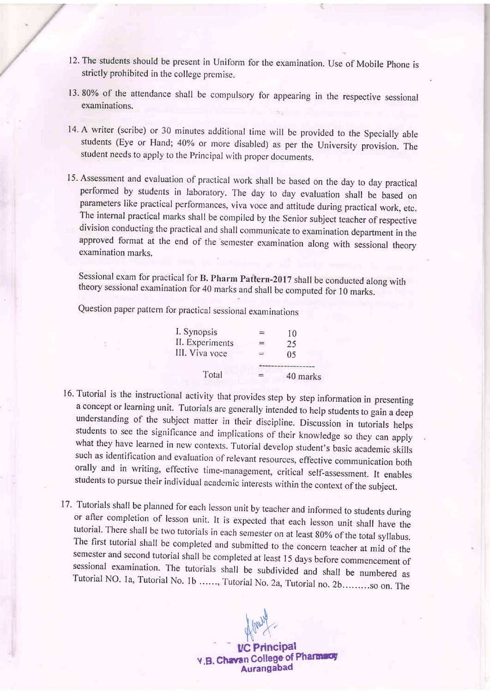- 12. The students should be present in Uniform forthe examination. Use of Mobile phone is strictly prohibited in the college premise.
- 13.80% of the attendance shall be compulsory for appearing in the respective sessional examinations.
- 14. A writer (scribe) or 30 minutes additional time will be provided to the Specially able students (Eye or Hand; 40% or more disabled) as per the University provision. The student needs to apply to the Principal with proper documents.
- l5' Assessment and evaluation of practical work shall be based on the day to day practical performed by students in laboratory. The day to day evaluation shall be based on parameters like practical performances, viva voce and attitude during practical work, etc. The internal practical marks shall be compiled by the Senior subject teacher of respective division conducting the practical and shall communicate to examination department in the approved format at the end of the 'semester examination along with sessional theory examination marks.

Sessional exam for practical for B. Pharm Pattern-20l7 shall be conducted along with theory sessional examination for 40 marks and shall be computed for l0 marks.

Question paper pattern for practical sessional examinations

| $=$ | 10             |
|-----|----------------|
| =   | 25             |
| =   | 0 <sub>5</sub> |
|     |                |
| $=$ | 40 marks       |
|     |                |

- 16. Tutorial is the instructional activity that provides step by step information in presenting a concept or learning unit. Tutorials are generally intended to help students to gain a deep understanding of the subject matter in their discipline. Discussion in tutorials helps<br>students to see the significance and implications of their knowledge so they can apply<br>what they have learned in new contexts. Tutorial
- 17. Tutorials shall be planned for each lesson unit by teacher and informed to students during<br>or after completion of lesson unit. It is expected that each lesson unit shall have the<br>tutorial. There shall be two tutorials

 $\mathbf{t}$  $\forall x$ .

UC PrinciPal Y.B. Chavan College of Pharmacy